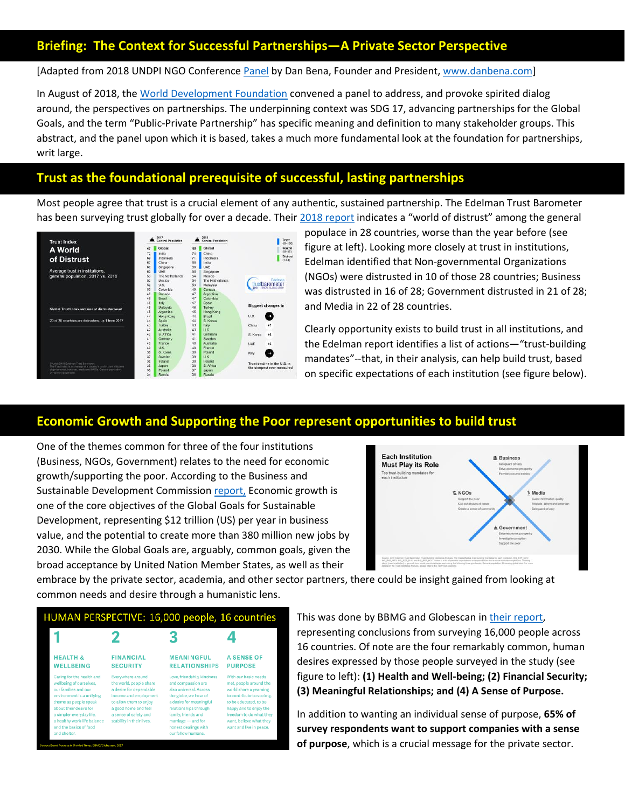## **Briefing: The Context for Successful Partnerships—A Private Sector Perspective**

[Adapted from 2018 UNDPI NGO Conferenc[e Panel](https://outreach.un.org/ngorelations/sites/outreach.un.org/files/workshops_-_daily_schedule_in_time_order.pdf) by Dan Bena, Founder and President, [www.danbena.com\]](http://www.danbena.com/)

In August of 2018, the [World Development Foundation](https://www.globalwdf.org/) convened a panel to address, and provoke spirited dialog around, the perspectives on partnerships. The underpinning context was SDG 17, advancing partnerships for the Global Goals, and the term "Public-Private Partnership" has specific meaning and definition to many stakeholder groups. This abstract, and the panel upon which it is based, takes a much more fundamental look at the foundation for partnerships, writ large.

## **Trust as the foundational prerequisite of successful, lasting partnerships**

Most people agree that trust is a crucial element of any authentic, sustained partnership. The Edelman Trust Barometer has been surveying trust globally for over a decade. Their [2018 report](https://www.edelman.com/trust-barometer) indicates a "world of distrust" among the general



populace in 28 countries, worse than the year before (see figure at left). Looking more closely at trust in institutions, Edelman identified that Non-governmental Organizations (NGOs) were distrusted in 10 of those 28 countries; Business was distrusted in 16 of 28; Government distrusted in 21 of 28; and Media in 22 of 28 countries.

Clearly opportunity exists to build trust in all institutions, and the Edelman report identifies a list of actions—"trust-building mandates"--that, in their analysis, can help build trust, based on specific expectations of each institution (see figure below).

## **Economic Growth and Supporting the Poor represent opportunities to build trust**

One of the themes common for three of the four institutions (Business, NGOs, Government) relates to the need for economic growth/supporting the poor. According to the Business and Sustainable Development Commission [report,](http://report.businesscommission.org/report) Economic growth is one of the core objectives of the Global Goals for Sustainable Development, representing \$12 trillion (US) per year in business value, and the potential to create more than 380 million new jobs by 2030. While the Global Goals are, arguably, common goals, given the broad acceptance by United Nation Member States, as well as their

**DEI ATIONSHIDS** 



embrace by the private sector, academia, and other sector partners, there could be insight gained from looking at common needs and desire through a humanistic lens.

**DUPPOSE** 

| HUMAN PERSPECTIVE: 16,000 people, 16 countries |                  |                   |            |  |  |  |
|------------------------------------------------|------------------|-------------------|------------|--|--|--|
|                                                |                  |                   |            |  |  |  |
| <b>HEALTH &amp;</b>                            | <b>FINANCIAL</b> | <b>MEANINGFUL</b> | A SENSE OF |  |  |  |

**SECURITY** 

**WELL REING** 

| -------------                                                                                                                                                                                                                                                     | .                                                                                                                                                                                                        |                                                                                                                                                                                                                                                    |                                                                                                                                                                                                                                           |
|-------------------------------------------------------------------------------------------------------------------------------------------------------------------------------------------------------------------------------------------------------------------|----------------------------------------------------------------------------------------------------------------------------------------------------------------------------------------------------------|----------------------------------------------------------------------------------------------------------------------------------------------------------------------------------------------------------------------------------------------------|-------------------------------------------------------------------------------------------------------------------------------------------------------------------------------------------------------------------------------------------|
| Caring for the health and<br>wellbeing of ourselves,<br>our families and our<br>environment is a unifying<br>theme as people speak<br>about their desire for<br>a simpler everyday life,<br>a healthy work-life balance<br>and the basics of food<br>and shelter. | Everywhere around<br>the world, people share<br>a desire for dependable<br>income and employment<br>to allow them to enjoy<br>a good home and feel<br>a sense of safety and<br>stability in their lives. | Love, friendship, kindness<br>and compassion are<br>also universal. Across<br>the globe, we hear of<br>a desire for meaningful<br>relationships through<br>family, friends and<br>marriage - and for<br>honest dealings with<br>our fellow humans. | With our basic needs<br>met, people around the<br>world share a yearning<br>to contribute to society,<br>to be educated, to be<br>happy and to enjoy the<br>freedom to do what they<br>want, believe what they<br>want and live in peace. |

This was done by BBMG and Globescan in [their report,](http://bbmg.com/brand-purpose-gap/)

representing conclusions from surveying 16,000 people across 16 countries. Of note are the four remarkably common, human desires expressed by those people surveyed in the study (see figure to left): **(1) Health and Well-being; (2) Financial Security; (3) Meaningful Relationships; and (4) A Sense of Purpose.**

In addition to wanting an individual sense of purpose, **65% of survey respondents want to support companies with a sense of purpose**, which is a crucial message for the private sector.